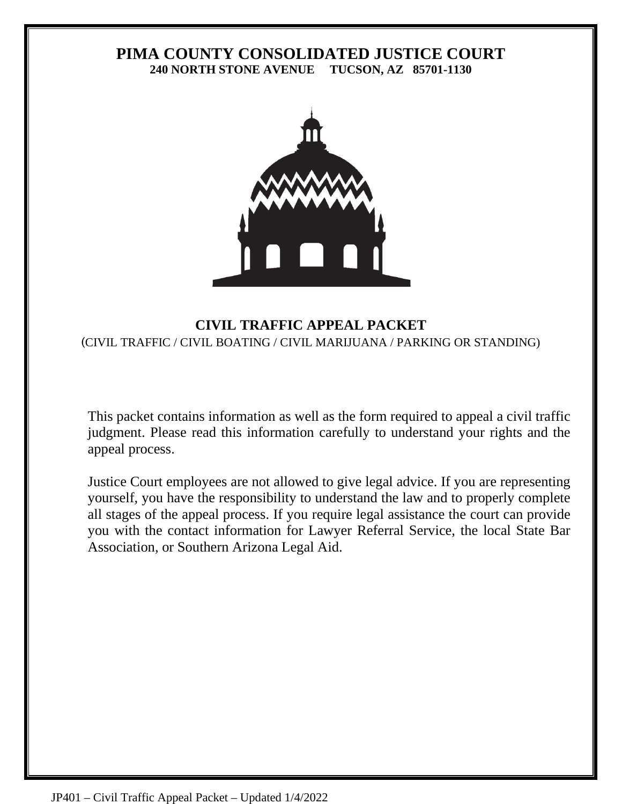# **PIMA COUNTY CONSOLIDATED JUSTICE COURT 240 NORTH STONE AVENUE TUCSON, AZ 85701-1130**



# **CIVIL TRAFFIC APPEAL PACKET** (CIVIL TRAFFIC / CIVIL BOATING / CIVIL MARIJUANA / PARKING OR STANDING)

This packet contains information as well as the form required to appeal a civil traffic judgment. Please read this information carefully to understand your rights and the appeal process.

Justice Court employees are not allowed to give legal advice. If you are representing yourself, you have the responsibility to understand the law and to properly complete all stages of the appeal process. If you require legal assistance the court can provide you with the contact information for Lawyer Referral Service, the local State Bar Association, or Southern Arizona Legal Aid.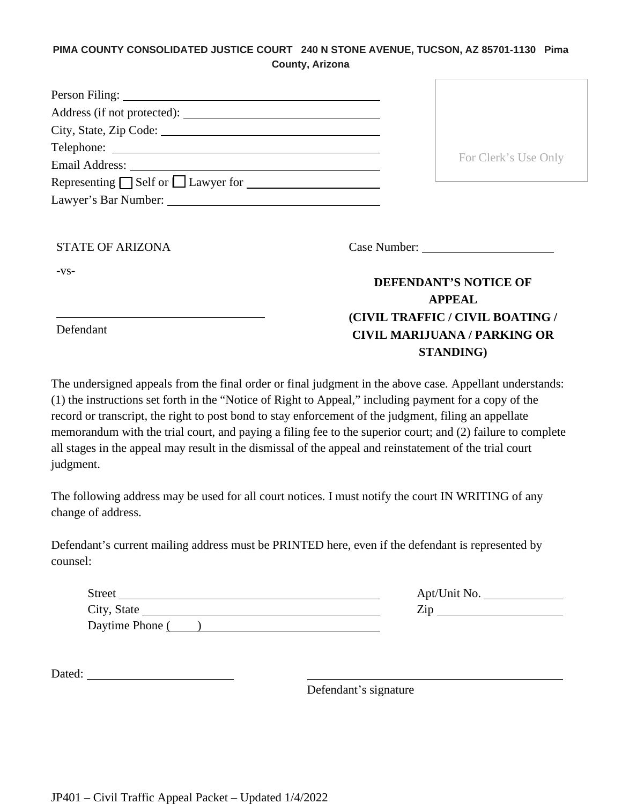#### **PIMA COUNTY CONSOLIDATED JUSTICE COURT 240 N STONE AVENUE, TUCSON, AZ 85701-1130 Pima County, Arizona**

| $-VS-$<br>Defendant                                  | <b>DEFENDANT'S NOTICE OF</b><br><b>APPEAL</b><br>(CIVIL TRAFFIC / CIVIL BOATING /<br><b>CIVIL MARIJUANA / PARKING OR</b> |
|------------------------------------------------------|--------------------------------------------------------------------------------------------------------------------------|
| <b>STATE OF ARIZONA</b>                              | Case Number:                                                                                                             |
|                                                      |                                                                                                                          |
| Representing $\Box$ Self or $\Box$ Lawyer for $\Box$ |                                                                                                                          |
|                                                      | For Clerk's Use Only                                                                                                     |
|                                                      |                                                                                                                          |
|                                                      |                                                                                                                          |
|                                                      |                                                                                                                          |
|                                                      |                                                                                                                          |

The undersigned appeals from the final order or final judgment in the above case. Appellant understands: (1) the instructions set forth in the "Notice of Right to Appeal," including payment for a copy of the record or transcript, the right to post bond to stay enforcement of the judgment, filing an appellate memorandum with the trial court, and paying a filing fee to the superior court; and (2) failure to complete all stages in the appeal may result in the dismissal of the appeal and reinstatement of the trial court judgment.

The following address may be used for all court notices. I must notify the court IN WRITING of any change of address.

Defendant's current mailing address must be PRINTED here, even if the defendant is represented by counsel:

| <b>Street</b>   | Apt/Unit No. |
|-----------------|--------------|
| City, State     | Zip          |
| Daytime Phone ( |              |

Dated:

Defendant's signature

**STANDING)**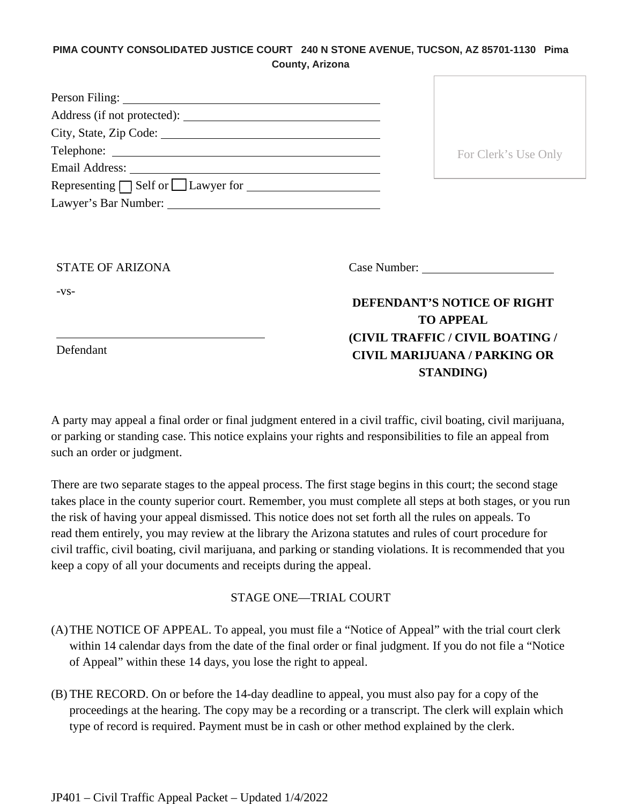#### **PIMA COUNTY CONSOLIDATED JUSTICE COURT 240 N STONE AVENUE, TUCSON, AZ 85701-1130 Pima County, Arizona**

 $\overline{1}$ 

| <b>STATE OF ARIZONA</b>                              |                      |
|------------------------------------------------------|----------------------|
|                                                      |                      |
|                                                      |                      |
| Representing $\Box$ Self or $\Box$ Lawyer for $\Box$ |                      |
|                                                      |                      |
|                                                      | For Clerk's Use Only |
|                                                      |                      |
|                                                      |                      |
|                                                      |                      |

A party may appeal a final order or final judgment entered in a civil traffic, civil boating, civil marijuana, or parking or standing case. This notice explains your rights and responsibilities to file an appeal from such an order or judgment.

There are two separate stages to the appeal process. The first stage begins in this court; the second stage takes place in the county superior court. Remember, you must complete all steps at both stages, or you run the risk of having your appeal dismissed. This notice does not set forth all the rules on appeals. To read them entirely, you may review at the library the Arizona statutes and rules of court procedure for civil traffic, civil boating, civil marijuana, and parking or standing violations. It is recommended that you keep a copy of all your documents and receipts during the appeal.

## STAGE ONE—TRIAL COURT

- (A)THE NOTICE OF APPEAL. To appeal, you must file a "Notice of Appeal" with the trial court clerk within 14 calendar days from the date of the final order or final judgment. If you do not file a "Notice of Appeal" within these 14 days, you lose the right to appeal.
- (B) THE RECORD. On or before the 14-day deadline to appeal, you must also pay for a copy of the proceedings at the hearing. The copy may be a recording or a transcript. The clerk will explain which type of record is required. Payment must be in cash or other method explained by the clerk.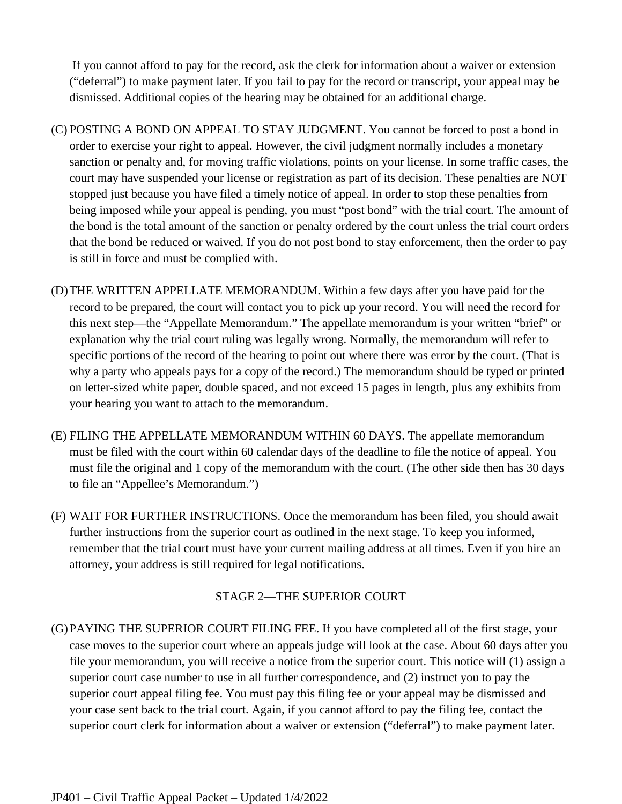If you cannot afford to pay for the record, ask the clerk for information about a waiver or extension ("deferral") to make payment later. If you fail to pay for the record or transcript, your appeal may be dismissed. Additional copies of the hearing may be obtained for an additional charge.

- (C) POSTING A BOND ON APPEAL TO STAY JUDGMENT. You cannot be forced to post a bond in order to exercise your right to appeal. However, the civil judgment normally includes a monetary sanction or penalty and, for moving traffic violations, points on your license. In some traffic cases, the court may have suspended your license or registration as part of its decision. These penalties are NOT stopped just because you have filed a timely notice of appeal. In order to stop these penalties from being imposed while your appeal is pending, you must "post bond" with the trial court. The amount of the bond is the total amount of the sanction or penalty ordered by the court unless the trial court orders that the bond be reduced or waived. If you do not post bond to stay enforcement, then the order to pay is still in force and must be complied with.
- (D)THE WRITTEN APPELLATE MEMORANDUM. Within a few days after you have paid for the record to be prepared, the court will contact you to pick up your record. You will need the record for this next step—the "Appellate Memorandum." The appellate memorandum is your written "brief" or explanation why the trial court ruling was legally wrong. Normally, the memorandum will refer to specific portions of the record of the hearing to point out where there was error by the court. (That is why a party who appeals pays for a copy of the record.) The memorandum should be typed or printed on letter-sized white paper, double spaced, and not exceed 15 pages in length, plus any exhibits from your hearing you want to attach to the memorandum.
- (E) FILING THE APPELLATE MEMORANDUM WITHIN 60 DAYS. The appellate memorandum must be filed with the court within 60 calendar days of the deadline to file the notice of appeal. You must file the original and 1 copy of the memorandum with the court. (The other side then has 30 days to file an "Appellee's Memorandum.")
- (F) WAIT FOR FURTHER INSTRUCTIONS. Once the memorandum has been filed, you should await further instructions from the superior court as outlined in the next stage. To keep you informed, remember that the trial court must have your current mailing address at all times. Even if you hire an attorney, your address is still required for legal notifications.

## STAGE 2—THE SUPERIOR COURT

(G)PAYING THE SUPERIOR COURT FILING FEE. If you have completed all of the first stage, your case moves to the superior court where an appeals judge will look at the case. About 60 days after you file your memorandum, you will receive a notice from the superior court. This notice will (1) assign a superior court case number to use in all further correspondence, and (2) instruct you to pay the superior court appeal filing fee. You must pay this filing fee or your appeal may be dismissed and your case sent back to the trial court. Again, if you cannot afford to pay the filing fee, contact the superior court clerk for information about a waiver or extension ("deferral") to make payment later.